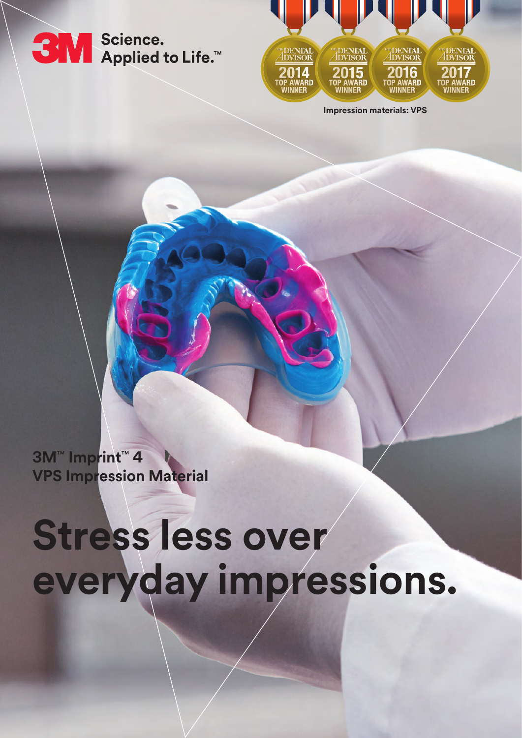



**Impression materials: VPS**

**3M**™ **Imprint**™ **4 VPS Impression Material**

# **Stress less over everyday impressions.**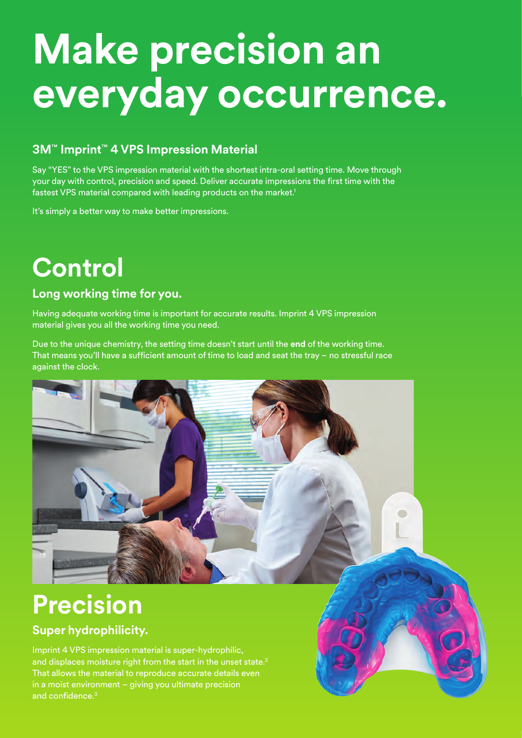## **Make precision an everyday occurrence.**

### **3M**™ **Imprint**™ **4 VPS Impression Material**

Say "YES" to the VPS impression material with the shortest intra-oral setting time. Move through your day with control, precision and speed. Deliver accurate impressions the first time with the fastest VPS material compared with leading products on the market.<sup>1</sup>

It's simply a better way to make better impressions.

### **Control**

#### **Long working time for you.**

Having adequate working time is important for accurate results. Imprint 4 VPS impression material gives you all the working time you need.

Due to the unique chemistry, the setting time doesn't start until the **end** of the working time. That means you'll have a sufficient amount of time to load and seat the tray – no stressful race against the clock.

 $\blacksquare$ 

### **Precision**

#### **Super hydrophilicity.**

Imprint 4 VPS impression material is super-hydrophilic, and displaces moisture right from the start in the unset state.<sup>2</sup> That allows the material to reproduce accurate details even in a moist environment – giving you ultimate precision and confidence.3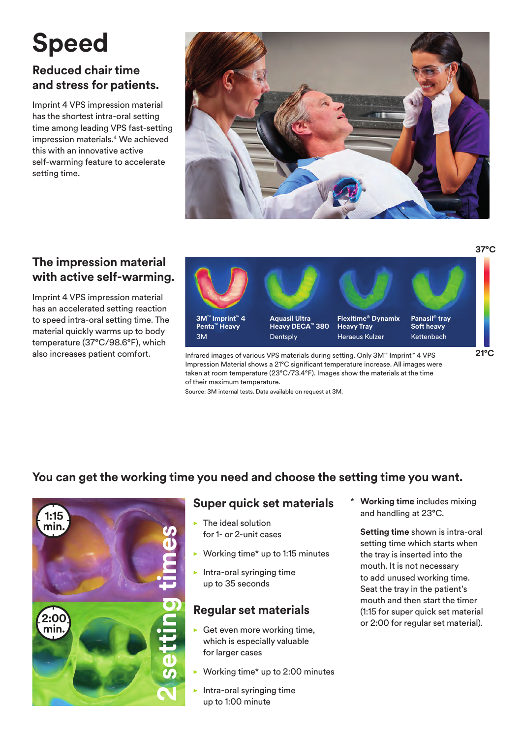## **Speed**

### **Reduced chair time and stress for patients.**

Imprint 4 VPS impression material has the shortest intra-oral setting time among leading VPS fast-setting impression materials.4 We achieved this with an innovative active self-warming feature to accelerate setting time.



#### **The impression material with active self-warming.**

Imprint 4 VPS impression material has an accelerated setting reaction to speed intra-oral setting time. The material quickly warms up to body temperature (37°C/98.6°F), which



also increases patient comfort. Infrared images of various VPS materials during setting. Only 3M™ Imprint™ 4 VPS Impression Material shows a 21°C significant temperature increase. All images were taken at room temperature (23°C/73.4°F). Images show the materials at the time of their maximum temperature.

Source: 3M internal tests. Data available on request at 3M.

#### **You can get the working time you need and choose the setting time you want.**



#### **Super quick set materials**

- $\blacktriangleright$  The ideal solution for 1- or 2-unit cases
- Working time\* up to 1:15 minutes
- Intra-oral syringing time up to 35 seconds

#### **Regular set materials**

- Get even more working time, which is especially valuable for larger cases
- Working time\* up to 2:00 minutes
- Intra-oral syringing time up to 1:00 minute

**Working time** includes mixing and handling at 23°C.

**Setting time** shown is intra-oral setting time which starts when the tray is inserted into the mouth. It is not necessary to add unused working time. Seat the tray in the patient's mouth and then start the timer (1:15 for super quick set material or 2:00 for regular set material).